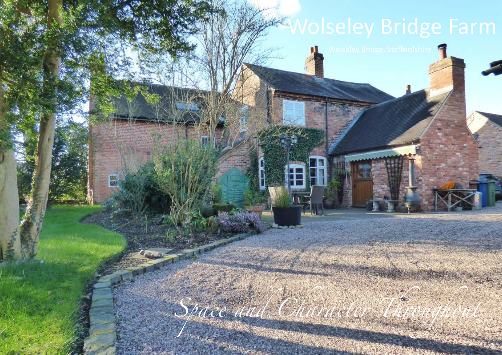Wolseley Bridge, Staffordshire

Space and Character

**DIR**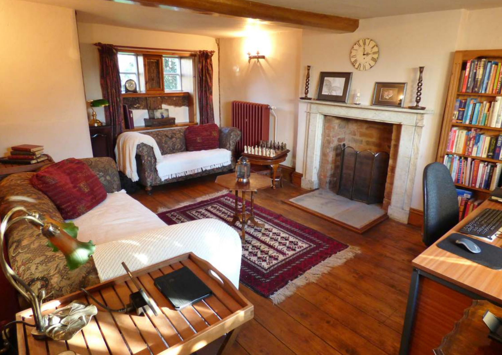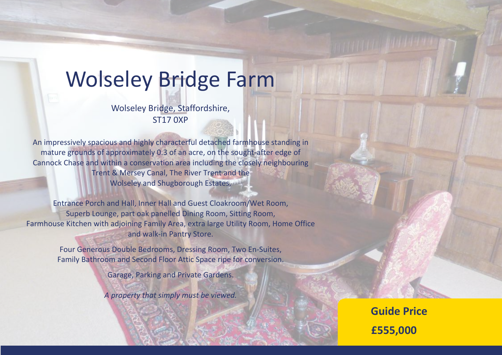# Wolseley Bridge Farm

Wolseley Bridge, Staffordshire, ST17 0XP

An impressively spacious and highly characterful detached farmhouse standing in mature grounds of approximately 0.3 of an acre, on the sought-after edge of Cannock Chase and within a conservation area including the closely neighbouring Trent & Mersey Canal, The River Trent and the Wolseley and Shugborough Estates.

Entrance Porch and Hall, Inner Hall and Guest Cloakroom/Wet Room, Superb Lounge, part oak panelled Dining Room, Sitting Room, Farmhouse Kitchen with adjoining Family Area, extra large Utility Room, Home Office and walk-in Pantry Store.

> Four Generous Double Bedrooms, Dressing Room, Two En-Suites, Family Bathroom and Second Floor Attic Space ripe for conversion.

> > Garage, Parking and Private Gardens.

*A property that simply must be viewed.*

**Guide Price £555,000**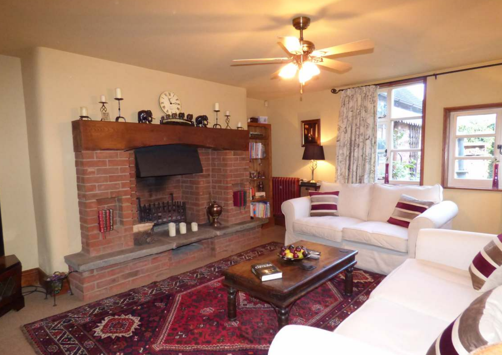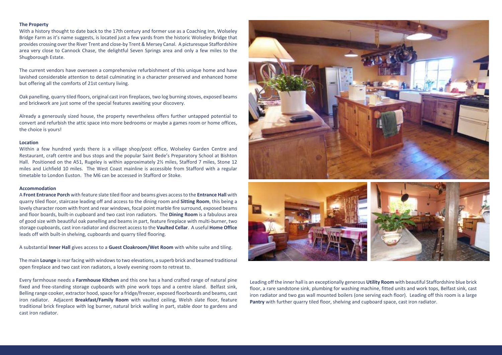#### **The Property**

With a history thought to date back to the 17th century and former use as a Coaching Inn, Wolseley Bridge Farm as it's name suggests, is located just a few yards from the historic Wolseley Bridge that provides crossing over the River Trent and close-by Trent & Mersey Canal. A picturesque Staffordshire area very close to Cannock Chase, the delightful Seven Springs area and only a few miles to the Shugborough Estate.

The current vendors have overseen a comprehensive refurbishment of this unique home and have lavished considerable attention to detail culminating in a character preserved and enhanced home but offering all the comforts of 21st century living.

Oak panelling, quarry tiled floors, original cast iron fireplaces, two log burning stoves, exposed beams and brickwork are just some of the special features awaiting your discovery.

Already a generously sized house, the property nevertheless offers further untapped potential to convert and refurbish the attic space into more bedrooms or maybe a games room or home offices, the choice is yours!

#### **Location**

Within a few hundred yards there is a village shop/post office, Wolseley Garden Centre and Restaurant, craft centre and bus stops and the popular Saint Bede's Preparatory School at Bishton Hall. Positioned on the A51, Rugeley is within approximately 2½ miles, Stafford 7 miles, Stone 12 miles and Lichfield 10 miles. The West Coast mainline is accessible from Stafford with a regular timetable to London Euston. The M6 can be accessed in Stafford or Stoke.

#### **Accommodation**

A **Front Entrance Porch** with feature slate tiled floor and beams gives access to the **Entrance Hall** with quarry tiled floor, staircase leading off and access to the dining room and **Sitting Room**, this being a lovely character room with front and rear windows, focal point marble fire surround, exposed beams and floor boards, built-in cupboard and two cast iron radiators. The **Dining Room** is a fabulous area of good size with beautiful oak panelling and beams in part, feature fireplace with multi-burner, two storage cupboards, cast iron radiator and discreet access to the **Vaulted Cellar**. A useful **Home Office** leads off with built-in shelving, cupboards and quarry tiled flooring.

A substantial **Inner Hall** gives access to a **Guest Cloakroom/Wet Room** with white suite and tiling.

The main **Lounge** is rear facing with windows to two elevations, a superb brick and beamed traditional open fireplace and two cast iron radiators, a lovely evening room to retreat to.

Every farmhouse needs a **Farmhouse Kitchen** and this one has a hand crafted range of natural pine fixed and free-standing storage cupboards with pine work tops and a centre island. Belfast sink, Belling range cooker, extractor hood, space for a fridge/freezer, exposed floorboards and beams, cast iron radiator. Adjacent **Breakfast/Family Room** with vaulted ceiling, Welsh slate floor, feature traditional brick fireplace with log burner, natural brick walling in part, stable door to gardens and cast iron radiator.





Leading off the inner hall is an exceptionally generous **Utility Room** with beautiful Staffordshire blue brick floor, a rare sandstone sink, plumbing for washing machine, fitted units and work tops, Belfast sink, cast iron radiator and two gas wall mounted boilers (one serving each floor). Leading off this room is a large **Pantry** with further quarry tiled floor, shelving and cupboard space, cast iron radiator.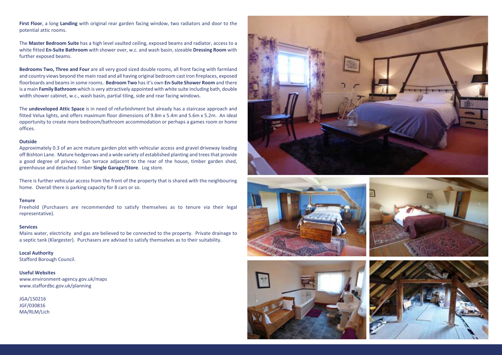**First Floor**, a long **Landing** with original rear garden facing window, two radiators and door to the potential attic rooms.

The **Master Bedroom Suite** has a high level vaulted ceiling, exposed beams and radiator, access to a white fitted **En-Suite Bathroom** with shower over, w.c. and wash basin, sizeable **Dressing Room** with further exposed beams.

**Bedrooms Two, Three and Four** are all very good sized double rooms, all front facing with farmland and country views beyond the main road and all having original bedroom cast iron fireplaces, exposed floorboards and beams in some rooms. **Bedroom Two** has it's own **En-Suite Shower Room** and there is a main **Family Bathroom** which is very attractively appointed with white suite including bath, double width shower cabinet, w.c., wash basin, partial tiling, side and rear facing windows.

The **undeveloped Attic Space** is in need of refurbishment but already has a staircase approach and fitted Velux lights, and offers maximum floor dimensions of 9.8m x 5.4m and 5.6m x 5.2m. An ideal opportunity to create more bedroom/bathroom accommodation or perhaps a games room or home offices.

#### **Outside**

Approximately 0.3 of an acre mature garden plot with vehicular access and gravel driveway leading off Bishton Lane. Mature hedgerows and a wide variety of established planting and trees that provide a good degree of privacy. Sun terrace adjacent to the rear of the house, timber garden shed, greenhouse and detached timber **Single Garage/Store**. Log store.

There is further vehicular access from the front of the property that is shared with the neighbouring home. Overall there is parking capacity for 8 cars or so.

#### **Tenure**

Freehold (Purchasers are recommended to satisfy themselves as to tenure via their legal representative).

#### **Services**

Mains water, electricity and gas are believed to be connected to the property. Private drainage to a septic tank (Klargester). Purchasers are advised to satisfy themselves as to their suitability.

### **Local Authority**

Stafford Borough Council.

### **Useful Websites**

www.environment-agency.gov.uk/maps www.staffordbc.gov.uk/planning

JGA/150216 JGF/030816 MA/RLM/Lich









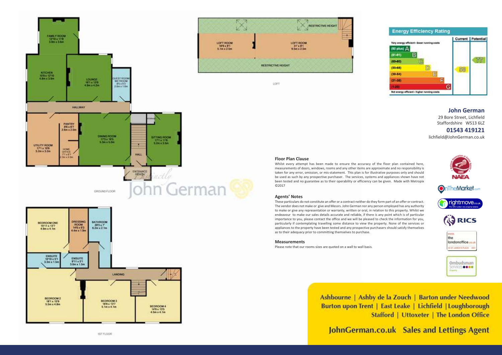





Coint

## **Energy Efficiency Rating**



**John German**

29 Bore Street, Lichfield Staffordshire WS13 6LZ

**01543 419121** lichfield@JohnGerman.co.uk

#### **Floor Plan Clause**

Whilst every attempt has been made to ensure the accuracy of the floor plan contained here, measurements of doors, windows, rooms and any other items are approximate and no responsibility is taken for any error, omission, or mis-statement. This plan is for illustrative purposes only and should be used as such by any prospective purchaser. The services, systems and appliances shown have not been tested and no guarantee as to their operability or efficiency can be given. Made with Metropix ©2017



#### **Agents' Notes**

These particulars do not constitute an offer or a contract neither do they form part of an offer or contract. The vendor does not make or give and Messrs. John German nor any person employed has any authority to make or give any representation or warranty, written or oral, in relation to this property. Whilst we endeavour to make our sales details accurate and reliable, if there is any point which is of particular importance to you, please contact the office and we will be pleased to check the information for you, particularly if contemplating travelling some distance to view the property. None of the services or appliances to the property have been tested and any prospective purchasers should satisfy themselves as to their adequacy prior to committing themselves to purchase.

#### **Measurements**

Please note that our rooms sizes are quoted on a wall to wall basis.











Ombudsman Senates eeen

Ashbourne | Ashby de la Zouch | Barton under Needwood **Burton upon Trent | East Leake | Lichfield | Loughborough Stafford | Uttoxeter | The London Office** 

JohnGerman.co.uk Sales and Lettings Agent